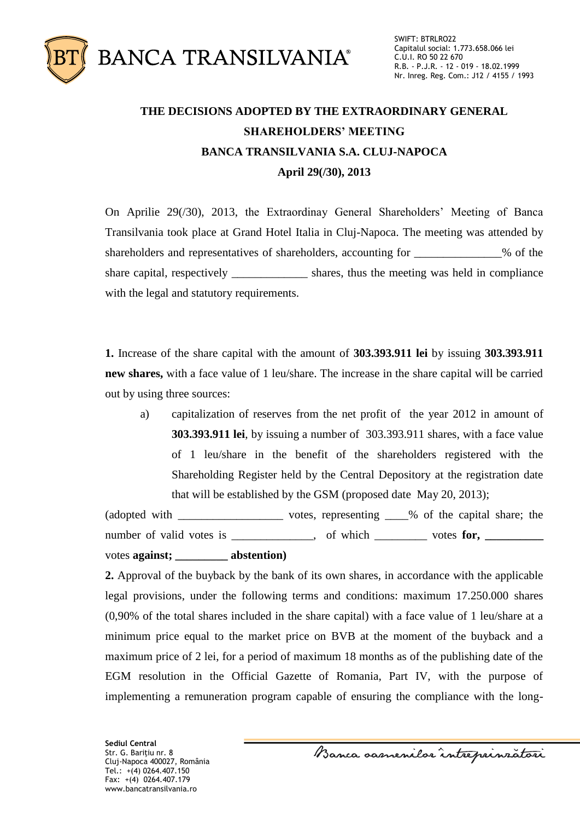

## **THE DECISIONS ADOPTED BY THE EXTRAORDINARY GENERAL SHAREHOLDERS' MEETING BANCA TRANSILVANIA S.A. CLUJ-NAPOCA April 29(/30), 2013**

On Aprilie 29(/30), 2013, the Extraordinay General Shareholders' Meeting of Banca Transilvania took place at Grand Hotel Italia in Cluj-Napoca. The meeting was attended by shareholders and representatives of shareholders, accounting for \_\_\_\_\_\_\_\_\_\_\_\_% of the share capital, respectively shares, thus the meeting was held in compliance with the legal and statutory requirements.

**1.** Increase of the share capital with the amount of **303.393.911 lei** by issuing **303.393.911 new shares,** with a face value of 1 leu/share. The increase in the share capital will be carried out by using three sources:

a) capitalization of reserves from the net profit of the year 2012 in amount of **303.393.911 lei**, by issuing a number of 303.393.911 shares, with a face value of 1 leu/share in the benefit of the shareholders registered with the Shareholding Register held by the Central Depository at the registration date that will be established by the GSM (proposed date May 20, 2013);

(adopted with \_\_\_\_\_\_\_\_\_\_\_\_\_\_\_\_\_\_ votes, representing \_\_\_\_% of the capital share; the number of valid votes is \_\_\_\_\_\_\_\_\_, of which \_\_\_\_\_\_ votes for, \_\_\_\_\_\_ votes **against; \_\_\_\_\_\_\_\_\_ abstention)**

**2.** Approval of the buyback by the bank of its own shares, in accordance with the applicable legal provisions, under the following terms and conditions: maximum 17.250.000 shares (0,90% of the total shares included in the share capital) with a face value of 1 leu/share at a minimum price equal to the market price on BVB at the moment of the buyback and a maximum price of 2 lei, for a period of maximum 18 months as of the publishing date of the EGM resolution in the Official Gazette of Romania, Part IV, with the purpose of implementing a remuneration program capable of ensuring the compliance with the long-

**Sediul Central** Str. G. Bariţiu nr. 8 Cluj-Napoca 400027, România Tel.: +(4) 0264.407.150 Fax: +(4) 0264.407.179 www.bancatransilvania.ro

Banca samenilor intreprinzatori